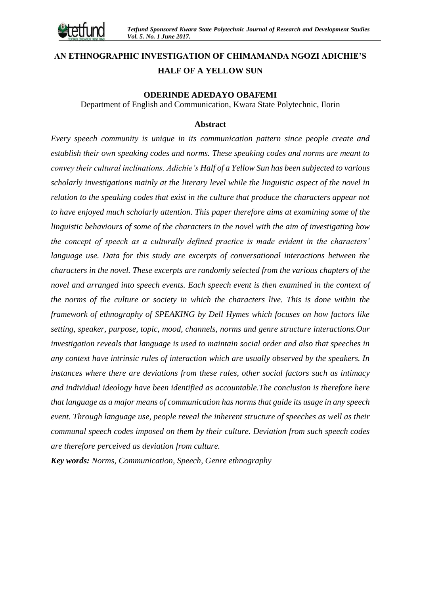# **AN ETHNOGRAPHIC INVESTIGATION OF CHIMAMANDA NGOZI ADICHIE'S HALF OF A YELLOW SUN**

# **ODERINDE ADEDAYO OBAFEMI**

Department of English and Communication, Kwara State Polytechnic, Ilorin

#### **Abstract**

*Every speech community is unique in its communication pattern since people create and establish their own speaking codes and norms. These speaking codes and norms are meant to convey their cultural inclinations. Adichie's Half of a Yellow Sun has been subjected to various scholarly investigations mainly at the literary level while the linguistic aspect of the novel in relation to the speaking codes that exist in the culture that produce the characters appear not to have enjoyed much scholarly attention. This paper therefore aims at examining some of the linguistic behaviours of some of the characters in the novel with the aim of investigating how the concept of speech as a culturally defined practice is made evident in the characters' language use. Data for this study are excerpts of conversational interactions between the characters in the novel. These excerpts are randomly selected from the various chapters of the novel and arranged into speech events. Each speech event is then examined in the context of the norms of the culture or society in which the characters live. This is done within the framework of ethnography of SPEAKING by Dell Hymes which focuses on how factors like setting, speaker, purpose, topic, mood, channels, norms and genre structure interactions.Our investigation reveals that language is used to maintain social order and also that speeches in any context have intrinsic rules of interaction which are usually observed by the speakers. In instances where there are deviations from these rules, other social factors such as intimacy and individual ideology have been identified as accountable.The conclusion is therefore here that language as a major means of communication has norms that guide its usage in any speech event. Through language use, people reveal the inherent structure of speeches as well as their communal speech codes imposed on them by their culture. Deviation from such speech codes are therefore perceived as deviation from culture.* 

*Key words: Norms, Communication, Speech, Genre ethnography*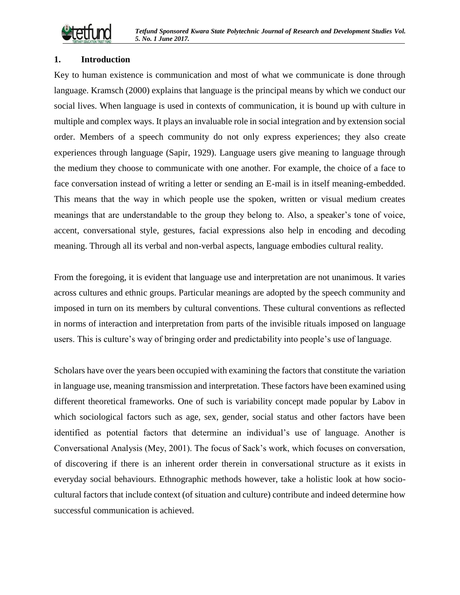

# **1. Introduction**

Key to human existence is communication and most of what we communicate is done through language. Kramsch (2000) explains that language is the principal means by which we conduct our social lives. When language is used in contexts of communication, it is bound up with culture in multiple and complex ways. It plays an invaluable role in social integration and by extension social order. Members of a speech community do not only express experiences; they also create experiences through language (Sapir, 1929). Language users give meaning to language through the medium they choose to communicate with one another. For example, the choice of a face to face conversation instead of writing a letter or sending an E-mail is in itself meaning-embedded. This means that the way in which people use the spoken, written or visual medium creates meanings that are understandable to the group they belong to. Also, a speaker's tone of voice, accent, conversational style, gestures, facial expressions also help in encoding and decoding meaning. Through all its verbal and non-verbal aspects, language embodies cultural reality.

From the foregoing, it is evident that language use and interpretation are not unanimous. It varies across cultures and ethnic groups. Particular meanings are adopted by the speech community and imposed in turn on its members by cultural conventions. These cultural conventions as reflected in norms of interaction and interpretation from parts of the invisible rituals imposed on language users. This is culture's way of bringing order and predictability into people's use of language.

Scholars have over the years been occupied with examining the factors that constitute the variation in language use, meaning transmission and interpretation. These factors have been examined using different theoretical frameworks. One of such is variability concept made popular by Labov in which sociological factors such as age, sex, gender, social status and other factors have been identified as potential factors that determine an individual's use of language. Another is Conversational Analysis (Mey, 2001). The focus of Sack's work, which focuses on conversation, of discovering if there is an inherent order therein in conversational structure as it exists in everyday social behaviours. Ethnographic methods however, take a holistic look at how sociocultural factors that include context (of situation and culture) contribute and indeed determine how successful communication is achieved.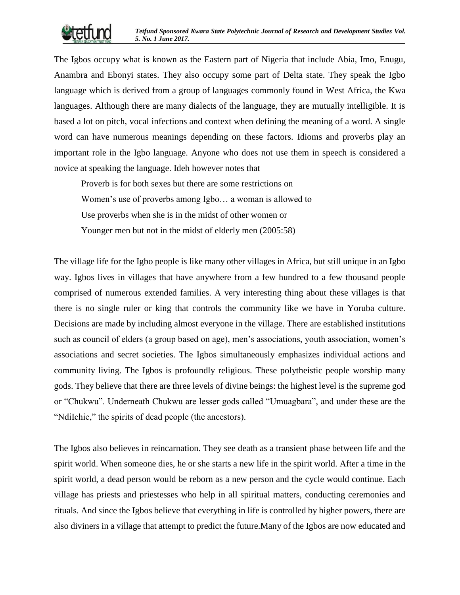The Igbos occupy what is known as the Eastern part of Nigeria that include Abia, Imo, Enugu, Anambra and Ebonyi states. They also occupy some part of Delta state. They speak the Igbo language which is derived from a group of languages commonly found in West Africa, the Kwa languages. Although there are many dialects of the language, they are mutually intelligible. It is based a lot on pitch, vocal infections and context when defining the meaning of a word. A single word can have numerous meanings depending on these factors. Idioms and proverbs play an important role in the Igbo language. Anyone who does not use them in speech is considered a novice at speaking the language. Ideh however notes that

Proverb is for both sexes but there are some restrictions on Women's use of proverbs among Igbo… a woman is allowed to Use proverbs when she is in the midst of other women or Younger men but not in the midst of elderly men (2005:58)

The village life for the Igbo people is like many other villages in Africa, but still unique in an Igbo way. Igbos lives in villages that have anywhere from a few hundred to a few thousand people comprised of numerous extended families. A very interesting thing about these villages is that there is no single ruler or king that controls the community like we have in Yoruba culture. Decisions are made by including almost everyone in the village. There are established institutions such as council of elders (a group based on age), men's associations, youth association, women's associations and secret societies. The Igbos simultaneously emphasizes individual actions and community living. The Igbos is profoundly religious. These polytheistic people worship many gods. They believe that there are three levels of divine beings: the highest level is the supreme god or "Chukwu". Underneath Chukwu are lesser gods called "Umuagbara", and under these are the "NdiIchie," the spirits of dead people (the ancestors).

The Igbos also believes in reincarnation. They see death as a transient phase between life and the spirit world. When someone dies, he or she starts a new life in the spirit world. After a time in the spirit world, a dead person would be reborn as a new person and the cycle would continue. Each village has priests and priestesses who help in all spiritual matters, conducting ceremonies and rituals. And since the Igbos believe that everything in life is controlled by higher powers, there are also diviners in a village that attempt to predict the future.Many of the Igbos are now educated and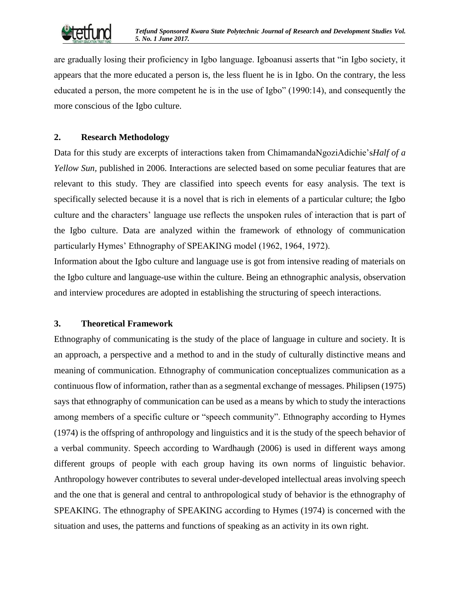

are gradually losing their proficiency in Igbo language. Igboanusi asserts that "in Igbo society, it appears that the more educated a person is, the less fluent he is in Igbo. On the contrary, the less educated a person, the more competent he is in the use of Igbo" (1990:14), and consequently the more conscious of the Igbo culture.

# **2. Research Methodology**

Data for this study are excerpts of interactions taken from ChimamandaNgoziAdichie's*Half of a Yellow Sun*, published in 2006. Interactions are selected based on some peculiar features that are relevant to this study. They are classified into speech events for easy analysis. The text is specifically selected because it is a novel that is rich in elements of a particular culture; the Igbo culture and the characters' language use reflects the unspoken rules of interaction that is part of the Igbo culture. Data are analyzed within the framework of ethnology of communication particularly Hymes' Ethnography of SPEAKING model (1962, 1964, 1972).

Information about the Igbo culture and language use is got from intensive reading of materials on the Igbo culture and language-use within the culture. Being an ethnographic analysis, observation and interview procedures are adopted in establishing the structuring of speech interactions.

#### **3. Theoretical Framework**

Ethnography of communicating is the study of the place of language in culture and society. It is an approach, a perspective and a method to and in the study of culturally distinctive means and meaning of communication. Ethnography of communication conceptualizes communication as a continuous flow of information, rather than as a segmental exchange of messages. Philipsen (1975) says that ethnography of communication can be used as a means by which to study the interactions among members of a specific culture or "speech community". Ethnography according to Hymes (1974) is the offspring of anthropology and linguistics and it is the study of the speech behavior of a verbal community. Speech according to Wardhaugh (2006) is used in different ways among different groups of people with each group having its own norms of linguistic behavior. Anthropology however contributes to several under-developed intellectual areas involving speech and the one that is general and central to anthropological study of behavior is the ethnography of SPEAKING. The ethnography of SPEAKING according to Hymes (1974) is concerned with the situation and uses, the patterns and functions of speaking as an activity in its own right.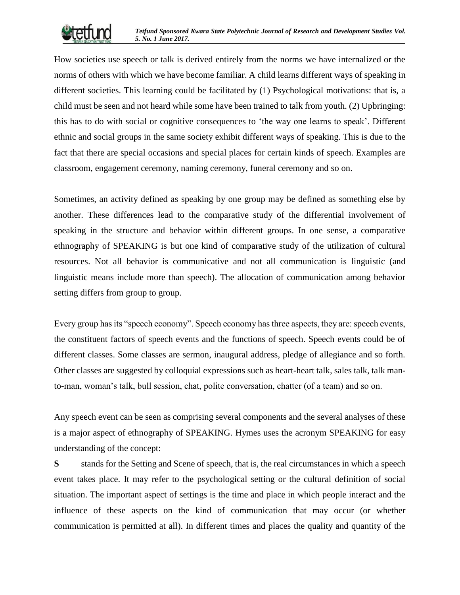

How societies use speech or talk is derived entirely from the norms we have internalized or the norms of others with which we have become familiar. A child learns different ways of speaking in different societies. This learning could be facilitated by (1) Psychological motivations: that is, a child must be seen and not heard while some have been trained to talk from youth. (2) Upbringing: this has to do with social or cognitive consequences to 'the way one learns to speak'. Different ethnic and social groups in the same society exhibit different ways of speaking. This is due to the fact that there are special occasions and special places for certain kinds of speech. Examples are classroom, engagement ceremony, naming ceremony, funeral ceremony and so on.

Sometimes, an activity defined as speaking by one group may be defined as something else by another. These differences lead to the comparative study of the differential involvement of speaking in the structure and behavior within different groups. In one sense, a comparative ethnography of SPEAKING is but one kind of comparative study of the utilization of cultural resources. Not all behavior is communicative and not all communication is linguistic (and linguistic means include more than speech). The allocation of communication among behavior setting differs from group to group.

Every group has its "speech economy". Speech economy has three aspects, they are: speech events, the constituent factors of speech events and the functions of speech. Speech events could be of different classes. Some classes are sermon, inaugural address, pledge of allegiance and so forth. Other classes are suggested by colloquial expressions such as heart-heart talk, sales talk, talk manto-man, woman's talk, bull session, chat, polite conversation, chatter (of a team) and so on.

Any speech event can be seen as comprising several components and the several analyses of these is a major aspect of ethnography of SPEAKING. Hymes uses the acronym SPEAKING for easy understanding of the concept:

**S** stands for the Setting and Scene of speech, that is, the real circumstances in which a speech event takes place. It may refer to the psychological setting or the cultural definition of social situation. The important aspect of settings is the time and place in which people interact and the influence of these aspects on the kind of communication that may occur (or whether communication is permitted at all). In different times and places the quality and quantity of the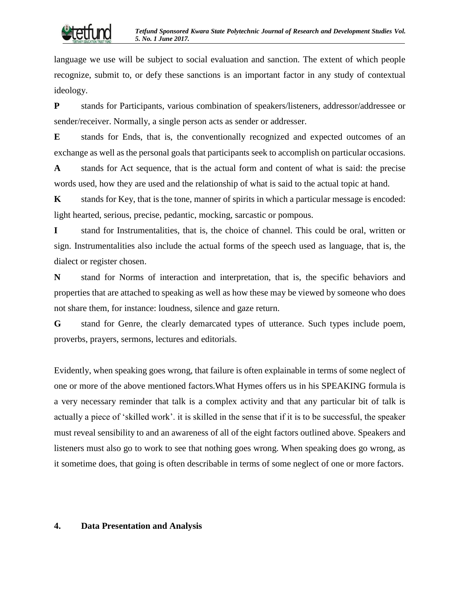language we use will be subject to social evaluation and sanction. The extent of which people recognize, submit to, or defy these sanctions is an important factor in any study of contextual ideology.

**P** stands for Participants, various combination of speakers/listeners, addressor/addressee or sender/receiver. Normally, a single person acts as sender or addresser.

**E** stands for Ends, that is, the conventionally recognized and expected outcomes of an exchange as well as the personal goals that participants seek to accomplish on particular occasions.

**A** stands for Act sequence, that is the actual form and content of what is said: the precise words used, how they are used and the relationship of what is said to the actual topic at hand.

**K** stands for Key, that is the tone, manner of spirits in which a particular message is encoded: light hearted, serious, precise, pedantic, mocking, sarcastic or pompous.

**I** stand for Instrumentalities, that is, the choice of channel. This could be oral, written or sign. Instrumentalities also include the actual forms of the speech used as language, that is, the dialect or register chosen.

**N** stand for Norms of interaction and interpretation, that is, the specific behaviors and properties that are attached to speaking as well as how these may be viewed by someone who does not share them, for instance: loudness, silence and gaze return.

**G** stand for Genre, the clearly demarcated types of utterance. Such types include poem, proverbs, prayers, sermons, lectures and editorials.

Evidently, when speaking goes wrong, that failure is often explainable in terms of some neglect of one or more of the above mentioned factors.What Hymes offers us in his SPEAKING formula is a very necessary reminder that talk is a complex activity and that any particular bit of talk is actually a piece of 'skilled work'. it is skilled in the sense that if it is to be successful, the speaker must reveal sensibility to and an awareness of all of the eight factors outlined above. Speakers and listeners must also go to work to see that nothing goes wrong. When speaking does go wrong, as it sometime does, that going is often describable in terms of some neglect of one or more factors.

#### **4. Data Presentation and Analysis**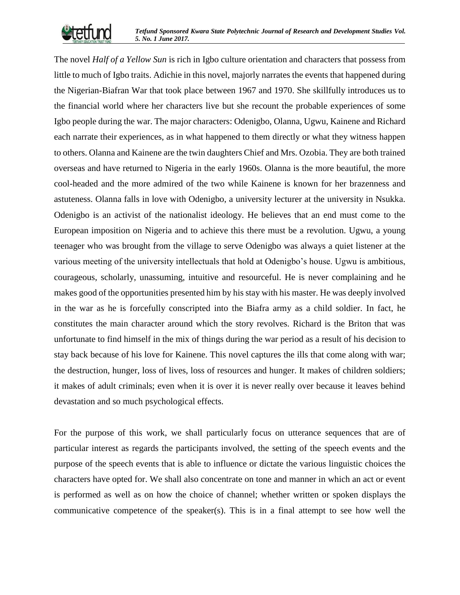

The novel *Half of a Yellow Sun* is rich in Igbo culture orientation and characters that possess from little to much of Igbo traits. Adichie in this novel, majorly narrates the events that happened during the Nigerian-Biafran War that took place between 1967 and 1970. She skillfully introduces us to the financial world where her characters live but she recount the probable experiences of some Igbo people during the war. The major characters: Odenigbo, Olanna, Ugwu, Kainene and Richard each narrate their experiences, as in what happened to them directly or what they witness happen to others. Olanna and Kainene are the twin daughters Chief and Mrs. Ozobia. They are both trained overseas and have returned to Nigeria in the early 1960s. Olanna is the more beautiful, the more cool-headed and the more admired of the two while Kainene is known for her brazenness and astuteness. Olanna falls in love with Odenigbo, a university lecturer at the university in Nsukka. Odenigbo is an activist of the nationalist ideology. He believes that an end must come to the European imposition on Nigeria and to achieve this there must be a revolution. Ugwu, a young teenager who was brought from the village to serve Odenigbo was always a quiet listener at the various meeting of the university intellectuals that hold at Odenigbo's house. Ugwu is ambitious, courageous, scholarly, unassuming, intuitive and resourceful. He is never complaining and he makes good of the opportunities presented him by his stay with his master. He was deeply involved in the war as he is forcefully conscripted into the Biafra army as a child soldier. In fact, he constitutes the main character around which the story revolves. Richard is the Briton that was unfortunate to find himself in the mix of things during the war period as a result of his decision to stay back because of his love for Kainene. This novel captures the ills that come along with war; the destruction, hunger, loss of lives, loss of resources and hunger. It makes of children soldiers; it makes of adult criminals; even when it is over it is never really over because it leaves behind devastation and so much psychological effects.

For the purpose of this work, we shall particularly focus on utterance sequences that are of particular interest as regards the participants involved, the setting of the speech events and the purpose of the speech events that is able to influence or dictate the various linguistic choices the characters have opted for. We shall also concentrate on tone and manner in which an act or event is performed as well as on how the choice of channel; whether written or spoken displays the communicative competence of the speaker(s). This is in a final attempt to see how well the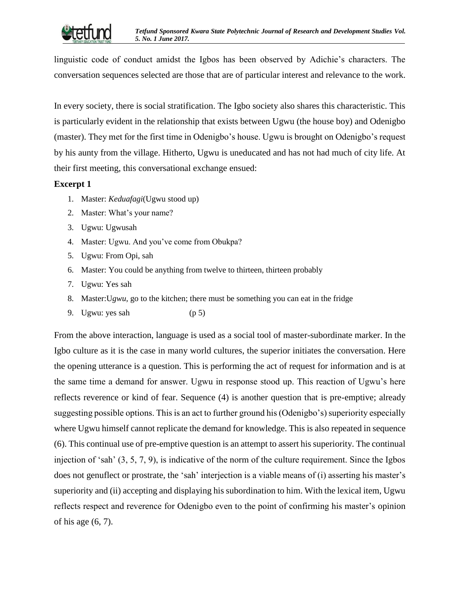

linguistic code of conduct amidst the Igbos has been observed by Adichie's characters. The conversation sequences selected are those that are of particular interest and relevance to the work.

In every society, there is social stratification. The Igbo society also shares this characteristic. This is particularly evident in the relationship that exists between Ugwu (the house boy) and Odenigbo (master). They met for the first time in Odenigbo's house. Ugwu is brought on Odenigbo's request by his aunty from the village. Hitherto, Ugwu is uneducated and has not had much of city life. At their first meeting, this conversational exchange ensued:

# **Excerpt 1**

- 1. Master: *Keduafagi*(Ugwu stood up)
- 2. Master: What's your name?
- 3. Ugwu: Ugwusah
- 4. Master: Ugwu. And you've come from Obukpa?
- 5. Ugwu: From Opi, sah
- 6. Master: You could be anything from twelve to thirteen, thirteen probably
- 7. Ugwu: Yes sah
- 8. Master:U*gwu,* go to the kitchen; there must be something you can eat in the fridge
- 9. Ugwu: yes sah (p 5)

From the above interaction, language is used as a social tool of master-subordinate marker. In the Igbo culture as it is the case in many world cultures, the superior initiates the conversation. Here the opening utterance is a question. This is performing the act of request for information and is at the same time a demand for answer. Ugwu in response stood up. This reaction of Ugwu's here reflects reverence or kind of fear. Sequence (4) is another question that is pre-emptive; already suggesting possible options. This is an act to further ground his (Odenigbo's) superiority especially where Ugwu himself cannot replicate the demand for knowledge. This is also repeated in sequence (6). This continual use of pre-emptive question is an attempt to assert his superiority. The continual injection of 'sah' (3, 5, 7, 9), is indicative of the norm of the culture requirement. Since the Igbos does not genuflect or prostrate, the 'sah' interjection is a viable means of (i) asserting his master's superiority and (ii) accepting and displaying his subordination to him. With the lexical item, Ugwu reflects respect and reverence for Odenigbo even to the point of confirming his master's opinion of his age (6, 7).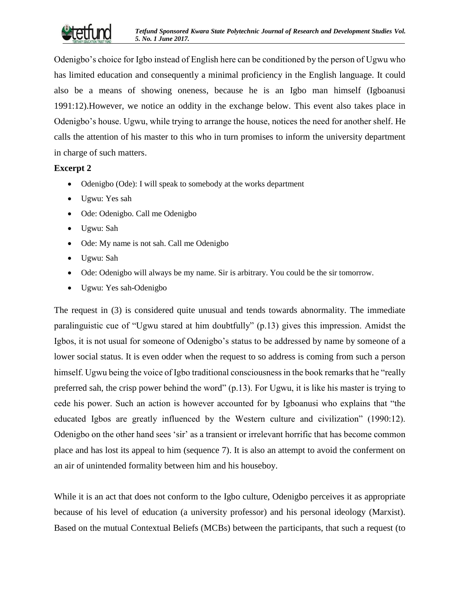

Odenigbo's choice for Igbo instead of English here can be conditioned by the person of Ugwu who has limited education and consequently a minimal proficiency in the English language. It could also be a means of showing oneness, because he is an Igbo man himself (Igboanusi 1991:12).However, we notice an oddity in the exchange below. This event also takes place in Odenigbo's house. Ugwu, while trying to arrange the house, notices the need for another shelf. He calls the attention of his master to this who in turn promises to inform the university department in charge of such matters.

# **Excerpt 2**

- Odenigbo (Ode): I will speak to somebody at the works department
- Ugwu: Yes sah
- Ode: Odenigbo. Call me Odenigbo
- Ugwu: Sah
- Ode: My name is not sah. Call me Odenigbo
- Ugwu: Sah
- Ode: Odenigbo will always be my name. Sir is arbitrary. You could be the sir tomorrow.
- Ugwu: Yes sah-Odenigbo

The request in (3) is considered quite unusual and tends towards abnormality. The immediate paralinguistic cue of "Ugwu stared at him doubtfully" (p.13) gives this impression. Amidst the Igbos, it is not usual for someone of Odenigbo's status to be addressed by name by someone of a lower social status. It is even odder when the request to so address is coming from such a person himself. Ugwu being the voice of Igbo traditional consciousness in the book remarks that he "really preferred sah, the crisp power behind the word" (p.13). For Ugwu, it is like his master is trying to cede his power. Such an action is however accounted for by Igboanusi who explains that "the educated Igbos are greatly influenced by the Western culture and civilization" (1990:12). Odenigbo on the other hand sees 'sir' as a transient or irrelevant horrific that has become common place and has lost its appeal to him (sequence 7). It is also an attempt to avoid the conferment on an air of unintended formality between him and his houseboy.

While it is an act that does not conform to the Igbo culture, Odenigbo perceives it as appropriate because of his level of education (a university professor) and his personal ideology (Marxist). Based on the mutual Contextual Beliefs (MCBs) between the participants, that such a request (to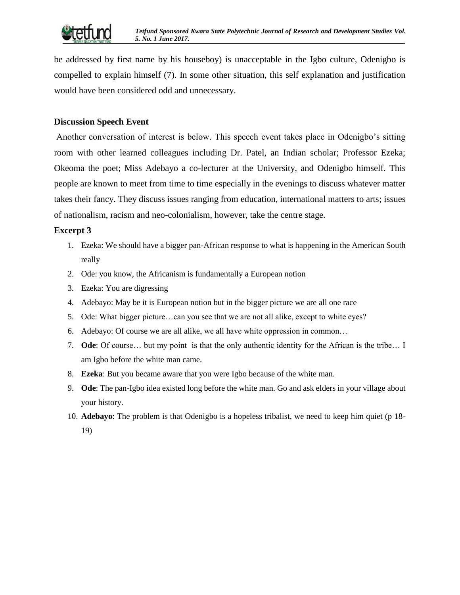

be addressed by first name by his houseboy) is unacceptable in the Igbo culture, Odenigbo is compelled to explain himself (7). In some other situation, this self explanation and justification would have been considered odd and unnecessary.

#### **Discussion Speech Event**

Another conversation of interest is below. This speech event takes place in Odenigbo's sitting room with other learned colleagues including Dr. Patel, an Indian scholar; Professor Ezeka; Okeoma the poet; Miss Adebayo a co-lecturer at the University, and Odenigbo himself. This people are known to meet from time to time especially in the evenings to discuss whatever matter takes their fancy. They discuss issues ranging from education, international matters to arts; issues of nationalism, racism and neo-colonialism, however, take the centre stage.

#### **Excerpt 3**

- 1. Ezeka: We should have a bigger pan-African response to what is happening in the American South really
- 2. Ode: you know, the Africanism is fundamentally a European notion
- 3. Ezeka: You are digressing
- 4. Adebayo: May be it is European notion but in the bigger picture we are all one race
- 5. Ode: What bigger picture…can you see that we are not all alike, except to white eyes?
- 6. Adebayo: Of course we are all alike, we all have white oppression in common…
- 7. **Ode**: Of course… but my point is that the only authentic identity for the African is the tribe… I am Igbo before the white man came.
- 8. **Ezeka**: But you became aware that you were Igbo because of the white man.
- 9. **Ode**: The pan-Igbo idea existed long before the white man. Go and ask elders in your village about your history.
- 10. **Adebayo**: The problem is that Odenigbo is a hopeless tribalist, we need to keep him quiet (p 18- 19)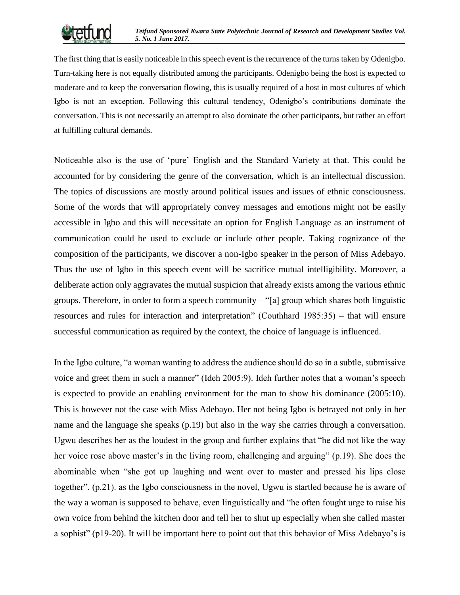

The first thing that is easily noticeable in this speech event is the recurrence of the turns taken by Odenigbo. Turn-taking here is not equally distributed among the participants. Odenigbo being the host is expected to moderate and to keep the conversation flowing, this is usually required of a host in most cultures of which Igbo is not an exception. Following this cultural tendency, Odenigbo's contributions dominate the conversation. This is not necessarily an attempt to also dominate the other participants, but rather an effort at fulfilling cultural demands**.**

Noticeable also is the use of 'pure' English and the Standard Variety at that. This could be accounted for by considering the genre of the conversation, which is an intellectual discussion. The topics of discussions are mostly around political issues and issues of ethnic consciousness. Some of the words that will appropriately convey messages and emotions might not be easily accessible in Igbo and this will necessitate an option for English Language as an instrument of communication could be used to exclude or include other people. Taking cognizance of the composition of the participants, we discover a non-Igbo speaker in the person of Miss Adebayo. Thus the use of Igbo in this speech event will be sacrifice mutual intelligibility. Moreover, a deliberate action only aggravates the mutual suspicion that already exists among the various ethnic groups. Therefore, in order to form a speech community – "[a] group which shares both linguistic resources and rules for interaction and interpretation" (Couthhard 1985:35) – that will ensure successful communication as required by the context, the choice of language is influenced.

In the Igbo culture, "a woman wanting to address the audience should do so in a subtle, submissive voice and greet them in such a manner" (Ideh 2005:9). Ideh further notes that a woman's speech is expected to provide an enabling environment for the man to show his dominance (2005:10). This is however not the case with Miss Adebayo. Her not being Igbo is betrayed not only in her name and the language she speaks (p.19) but also in the way she carries through a conversation. Ugwu describes her as the loudest in the group and further explains that "he did not like the way her voice rose above master's in the living room, challenging and arguing" (p.19). She does the abominable when "she got up laughing and went over to master and pressed his lips close together". (p.21). as the Igbo consciousness in the novel, Ugwu is startled because he is aware of the way a woman is supposed to behave, even linguistically and "he often fought urge to raise his own voice from behind the kitchen door and tell her to shut up especially when she called master a sophist" (p19-20). It will be important here to point out that this behavior of Miss Adebayo's is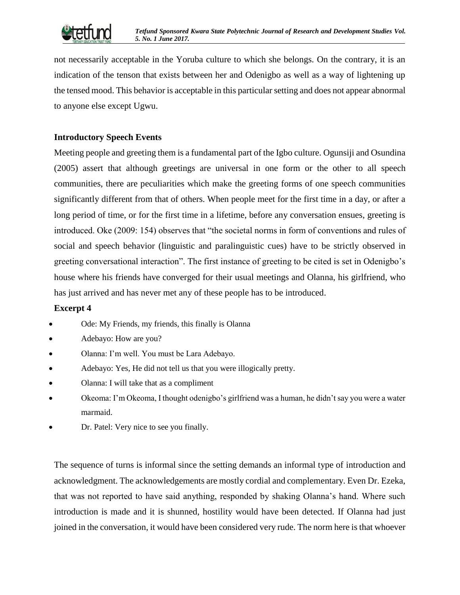

not necessarily acceptable in the Yoruba culture to which she belongs. On the contrary, it is an indication of the tenson that exists between her and Odenigbo as well as a way of lightening up the tensed mood. This behavior is acceptable in this particular setting and does not appear abnormal to anyone else except Ugwu.

# **Introductory Speech Events**

Meeting people and greeting them is a fundamental part of the Igbo culture. Ogunsiji and Osundina (2005) assert that although greetings are universal in one form or the other to all speech communities, there are peculiarities which make the greeting forms of one speech communities significantly different from that of others. When people meet for the first time in a day, or after a long period of time, or for the first time in a lifetime, before any conversation ensues, greeting is introduced. Oke (2009: 154) observes that "the societal norms in form of conventions and rules of social and speech behavior (linguistic and paralinguistic cues) have to be strictly observed in greeting conversational interaction". The first instance of greeting to be cited is set in Odenigbo's house where his friends have converged for their usual meetings and Olanna, his girlfriend, who has just arrived and has never met any of these people has to be introduced.

# **Excerpt 4**

- Ode: My Friends, my friends, this finally is Olanna
- Adebayo: How are you?
- Olanna: I'm well. You must be Lara Adebayo.
- Adebayo: Yes, He did not tell us that you were illogically pretty.
- Olanna: I will take that as a compliment
- Okeoma: I'm Okeoma, I thought odenigbo's girlfriend was a human, he didn't say you were a water marmaid.
- Dr. Patel: Very nice to see you finally.

The sequence of turns is informal since the setting demands an informal type of introduction and acknowledgment. The acknowledgements are mostly cordial and complementary. Even Dr. Ezeka, that was not reported to have said anything, responded by shaking Olanna's hand. Where such introduction is made and it is shunned, hostility would have been detected. If Olanna had just joined in the conversation, it would have been considered very rude. The norm here is that whoever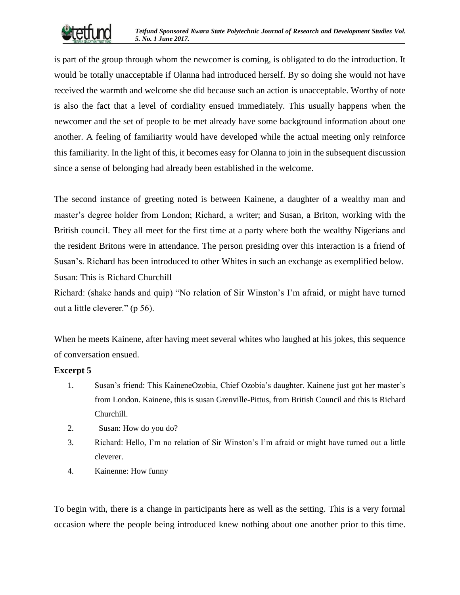

is part of the group through whom the newcomer is coming, is obligated to do the introduction. It would be totally unacceptable if Olanna had introduced herself. By so doing she would not have received the warmth and welcome she did because such an action is unacceptable. Worthy of note is also the fact that a level of cordiality ensued immediately. This usually happens when the newcomer and the set of people to be met already have some background information about one another. A feeling of familiarity would have developed while the actual meeting only reinforce this familiarity. In the light of this, it becomes easy for Olanna to join in the subsequent discussion since a sense of belonging had already been established in the welcome.

The second instance of greeting noted is between Kainene, a daughter of a wealthy man and master's degree holder from London; Richard, a writer; and Susan, a Briton, working with the British council. They all meet for the first time at a party where both the wealthy Nigerians and the resident Britons were in attendance. The person presiding over this interaction is a friend of Susan's. Richard has been introduced to other Whites in such an exchange as exemplified below. Susan: This is Richard Churchill

Richard: (shake hands and quip) "No relation of Sir Winston's I'm afraid, or might have turned out a little cleverer." (p 56).

When he meets Kainene, after having meet several whites who laughed at his jokes, this sequence of conversation ensued.

# **Excerpt 5**

- 1. Susan's friend: This KaineneOzobia, Chief Ozobia's daughter. Kainene just got her master's from London. Kainene, this is susan Grenville-Pittus, from British Council and this is Richard Churchill.
- 2. Susan: How do you do?
- 3. Richard: Hello, I'm no relation of Sir Winston's I'm afraid or might have turned out a little cleverer.
- 4. Kainenne: How funny

To begin with, there is a change in participants here as well as the setting. This is a very formal occasion where the people being introduced knew nothing about one another prior to this time.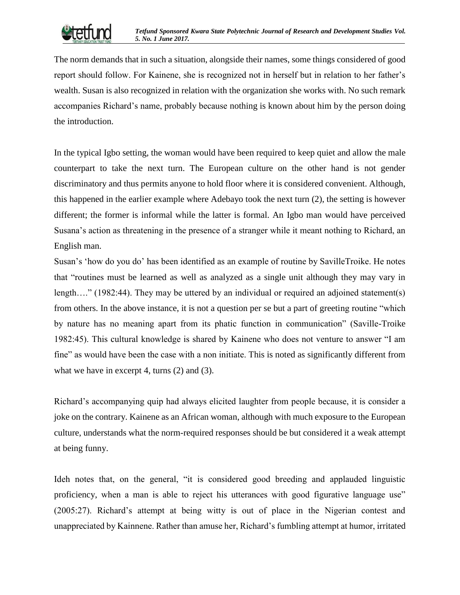

The norm demands that in such a situation, alongside their names, some things considered of good report should follow. For Kainene, she is recognized not in herself but in relation to her father's wealth. Susan is also recognized in relation with the organization she works with. No such remark accompanies Richard's name, probably because nothing is known about him by the person doing the introduction.

In the typical Igbo setting, the woman would have been required to keep quiet and allow the male counterpart to take the next turn. The European culture on the other hand is not gender discriminatory and thus permits anyone to hold floor where it is considered convenient. Although, this happened in the earlier example where Adebayo took the next turn (2), the setting is however different; the former is informal while the latter is formal. An Igbo man would have perceived Susana's action as threatening in the presence of a stranger while it meant nothing to Richard, an English man.

Susan's 'how do you do' has been identified as an example of routine by SavilleTroike. He notes that "routines must be learned as well as analyzed as a single unit although they may vary in length...." (1982:44). They may be uttered by an individual or required an adjoined statement(s) from others. In the above instance, it is not a question per se but a part of greeting routine "which by nature has no meaning apart from its phatic function in communication" (Saville-Troike 1982:45). This cultural knowledge is shared by Kainene who does not venture to answer "I am fine" as would have been the case with a non initiate. This is noted as significantly different from what we have in excerpt 4, turns (2) and (3).

Richard's accompanying quip had always elicited laughter from people because, it is consider a joke on the contrary. Kainene as an African woman, although with much exposure to the European culture, understands what the norm-required responses should be but considered it a weak attempt at being funny.

Ideh notes that, on the general, "it is considered good breeding and applauded linguistic proficiency, when a man is able to reject his utterances with good figurative language use" (2005:27). Richard's attempt at being witty is out of place in the Nigerian contest and unappreciated by Kainnene. Rather than amuse her, Richard's fumbling attempt at humor, irritated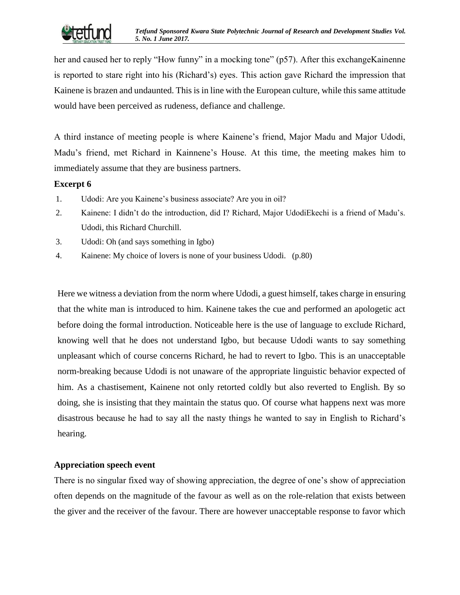

her and caused her to reply "How funny" in a mocking tone" (p57). After this exchangeKainenne is reported to stare right into his (Richard's) eyes. This action gave Richard the impression that Kainene is brazen and undaunted. This is in line with the European culture, while this same attitude would have been perceived as rudeness, defiance and challenge.

A third instance of meeting people is where Kainene's friend, Major Madu and Major Udodi, Madu's friend, met Richard in Kainnene's House. At this time, the meeting makes him to immediately assume that they are business partners.

# **Excerpt 6**

- 1. Udodi: Are you Kainene's business associate? Are you in oil?
- 2. Kainene: I didn't do the introduction, did I? Richard, Major UdodiEkechi is a friend of Madu's. Udodi, this Richard Churchill.
- 3. Udodi: Oh (and says something in Igbo)
- 4. Kainene: My choice of lovers is none of your business Udodi. (p.80)

Here we witness a deviation from the norm where Udodi, a guest himself, takes charge in ensuring that the white man is introduced to him. Kainene takes the cue and performed an apologetic act before doing the formal introduction. Noticeable here is the use of language to exclude Richard, knowing well that he does not understand Igbo, but because Udodi wants to say something unpleasant which of course concerns Richard, he had to revert to Igbo. This is an unacceptable norm-breaking because Udodi is not unaware of the appropriate linguistic behavior expected of him. As a chastisement, Kainene not only retorted coldly but also reverted to English. By so doing, she is insisting that they maintain the status quo. Of course what happens next was more disastrous because he had to say all the nasty things he wanted to say in English to Richard's hearing.

# **Appreciation speech event**

There is no singular fixed way of showing appreciation, the degree of one's show of appreciation often depends on the magnitude of the favour as well as on the role-relation that exists between the giver and the receiver of the favour. There are however unacceptable response to favor which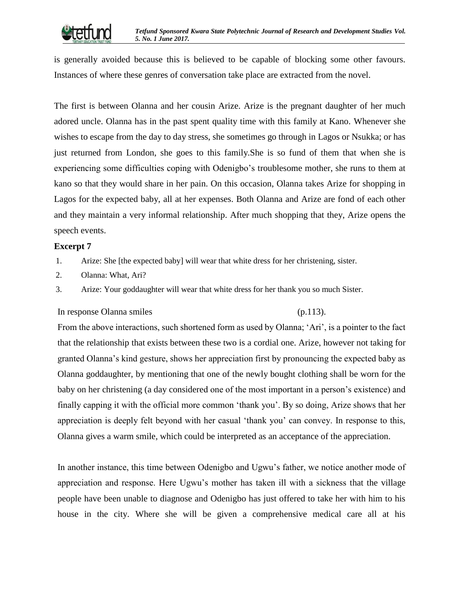is generally avoided because this is believed to be capable of blocking some other favours. Instances of where these genres of conversation take place are extracted from the novel.

The first is between Olanna and her cousin Arize. Arize is the pregnant daughter of her much adored uncle. Olanna has in the past spent quality time with this family at Kano. Whenever she wishes to escape from the day to day stress, she sometimes go through in Lagos or Nsukka; or has just returned from London, she goes to this family.She is so fund of them that when she is experiencing some difficulties coping with Odenigbo's troublesome mother, she runs to them at kano so that they would share in her pain. On this occasion, Olanna takes Arize for shopping in Lagos for the expected baby, all at her expenses. Both Olanna and Arize are fond of each other and they maintain a very informal relationship. After much shopping that they, Arize opens the speech events.

# **Excerpt 7**

1. Arize: She [the expected baby] will wear that white dress for her christening, sister.

2. Olanna: What, Ari?

3. Arize: Your goddaughter will wear that white dress for her thank you so much Sister.

#### In response Olanna smiles (p.113).

From the above interactions, such shortened form as used by Olanna; 'Ari', is a pointer to the fact that the relationship that exists between these two is a cordial one. Arize, however not taking for granted Olanna's kind gesture, shows her appreciation first by pronouncing the expected baby as Olanna goddaughter, by mentioning that one of the newly bought clothing shall be worn for the baby on her christening (a day considered one of the most important in a person's existence) and finally capping it with the official more common 'thank you'. By so doing, Arize shows that her appreciation is deeply felt beyond with her casual 'thank you' can convey. In response to this, Olanna gives a warm smile, which could be interpreted as an acceptance of the appreciation.

In another instance, this time between Odenigbo and Ugwu's father, we notice another mode of appreciation and response. Here Ugwu's mother has taken ill with a sickness that the village people have been unable to diagnose and Odenigbo has just offered to take her with him to his house in the city. Where she will be given a comprehensive medical care all at his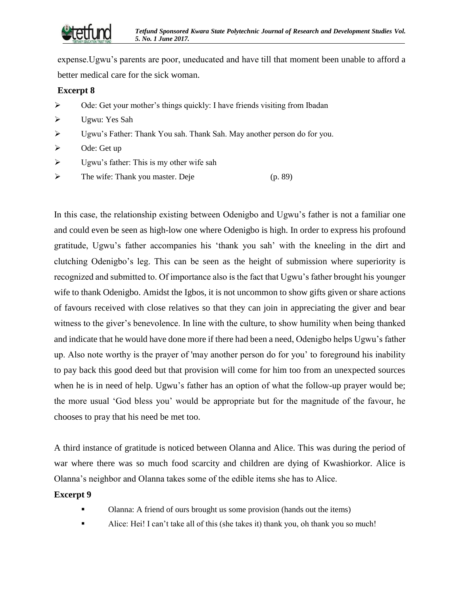

expense.Ugwu's parents are poor, uneducated and have till that moment been unable to afford a better medical care for the sick woman.

#### **Excerpt 8**

- $\triangleright$  Ode: Get your mother's things quickly: I have friends visiting from Ibadan
- Ugwu: Yes Sah
- Ugwu's Father: Thank You sah. Thank Sah. May another person do for you.
- $\triangleright$  Ode: Get up
- $\triangleright$  Ugwu's father: This is my other wife sah
- $\triangleright$  The wife: Thank you master. Deje (p. 89)

In this case, the relationship existing between Odenigbo and Ugwu's father is not a familiar one and could even be seen as high-low one where Odenigbo is high. In order to express his profound gratitude, Ugwu's father accompanies his 'thank you sah' with the kneeling in the dirt and clutching Odenigbo's leg. This can be seen as the height of submission where superiority is recognized and submitted to. Of importance also is the fact that Ugwu's father brought his younger wife to thank Odenigbo. Amidst the Igbos, it is not uncommon to show gifts given or share actions of favours received with close relatives so that they can join in appreciating the giver and bear witness to the giver's benevolence. In line with the culture, to show humility when being thanked and indicate that he would have done more if there had been a need, Odenigbo helps Ugwu's father up. Also note worthy is the prayer of 'may another person do for you' to foreground his inability to pay back this good deed but that provision will come for him too from an unexpected sources when he is in need of help. Ugwu's father has an option of what the follow-up prayer would be; the more usual 'God bless you' would be appropriate but for the magnitude of the favour, he chooses to pray that his need be met too.

A third instance of gratitude is noticed between Olanna and Alice. This was during the period of war where there was so much food scarcity and children are dying of Kwashiorkor. Alice is Olanna's neighbor and Olanna takes some of the edible items she has to Alice.

#### **Excerpt 9**

- Olanna: A friend of ours brought us some provision (hands out the items)
- Alice: Hei! I can't take all of this (she takes it) thank you, oh thank you so much!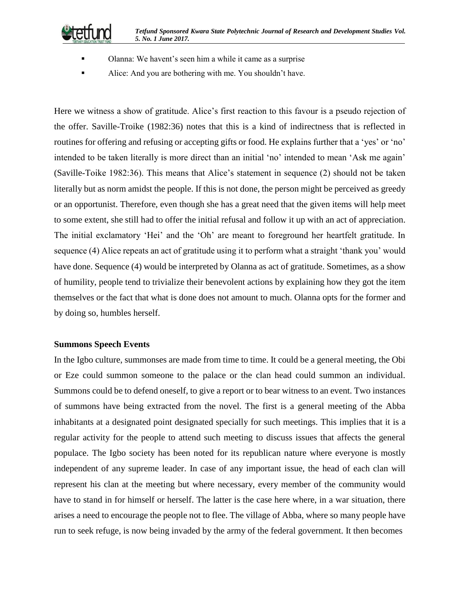*Tetfund Sponsored Kwara State Polytechnic Journal of Research and Development Studies Vol. 5. No. 1 June 2017.*



- Olanna: We havent's seen him a while it came as a surprise
- Alice: And you are bothering with me. You shouldn't have.

Here we witness a show of gratitude. Alice's first reaction to this favour is a pseudo rejection of the offer. Saville-Troike (1982:36) notes that this is a kind of indirectness that is reflected in routines for offering and refusing or accepting gifts or food. He explains further that a 'yes' or 'no' intended to be taken literally is more direct than an initial 'no' intended to mean 'Ask me again' (Saville-Toike 1982:36). This means that Alice's statement in sequence (2) should not be taken literally but as norm amidst the people. If this is not done, the person might be perceived as greedy or an opportunist. Therefore, even though she has a great need that the given items will help meet to some extent, she still had to offer the initial refusal and follow it up with an act of appreciation. The initial exclamatory 'Hei' and the 'Oh' are meant to foreground her heartfelt gratitude. In sequence (4) Alice repeats an act of gratitude using it to perform what a straight 'thank you' would have done. Sequence (4) would be interpreted by Olanna as act of gratitude. Sometimes, as a show of humility, people tend to trivialize their benevolent actions by explaining how they got the item themselves or the fact that what is done does not amount to much. Olanna opts for the former and by doing so, humbles herself.

#### **Summons Speech Events**

In the Igbo culture, summonses are made from time to time. It could be a general meeting, the Obi or Eze could summon someone to the palace or the clan head could summon an individual. Summons could be to defend oneself, to give a report or to bear witness to an event. Two instances of summons have being extracted from the novel. The first is a general meeting of the Abba inhabitants at a designated point designated specially for such meetings. This implies that it is a regular activity for the people to attend such meeting to discuss issues that affects the general populace. The Igbo society has been noted for its republican nature where everyone is mostly independent of any supreme leader. In case of any important issue, the head of each clan will represent his clan at the meeting but where necessary, every member of the community would have to stand in for himself or herself. The latter is the case here where, in a war situation, there arises a need to encourage the people not to flee. The village of Abba, where so many people have run to seek refuge, is now being invaded by the army of the federal government. It then becomes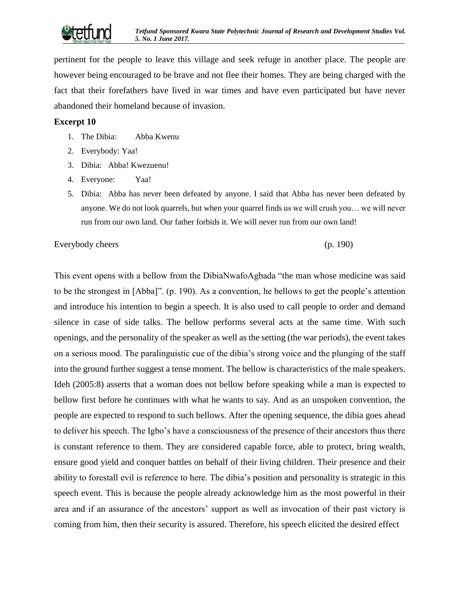

pertinent for the people to leave this village and seek refuge in another place. The people are however being encouraged to be brave and not flee their homes. They are being charged with the fact that their forefathers have lived in war times and have even participated but have never abandoned their homeland because of invasion.

#### **Excerpt 10**

- 1. The Dibia: Abba Kwenu
- 2. Everybody: Yaa!
- 3. Dibia: Abba! Kwezuenu!
- 4. Everyone: Yaa!
- 5. Dibia: Abba has never been defeated by anyone. I said that Abba has never been defeated by anyone. We do not look quarrels, but when your quarrel finds us we will crush you… we will never run from our own land. Our father forbids it. We will never run from our own land!

Everybody cheers (p. 190)

This event opens with a bellow from the DibiaNwafoAgbada "the man whose medicine was said to be the strongest in [Abba]". (p. 190). As a convention, he bellows to get the people's attention and introduce his intention to begin a speech. It is also used to call people to order and demand silence in case of side talks. The bellow performs several acts at the same time. With such openings, and the personality of the speaker as well as the setting (the war periods), the event takes on a serious mood. The paralinguistic cue of the dibia's strong voice and the plunging of the staff into the ground further suggest a tense moment. The bellow is characteristics of the male speakers. Ideh (2005:8) asserts that a woman does not bellow before speaking while a man is expected to bellow first before he continues with what he wants to say. And as an unspoken convention, the people are expected to respond to such bellows. After the opening sequence, the dibia goes ahead to deliver his speech. The Igbo's have a consciousness of the presence of their ancestors thus there is constant reference to them. They are considered capable force, able to protect, bring wealth, ensure good yield and conquer battles on behalf of their living children. Their presence and their ability to forestall evil is reference to here. The dibia's position and personality is strategic in this speech event. This is because the people already acknowledge him as the most powerful in their area and if an assurance of the ancestors' support as well as invocation of their past victory is coming from him, then their security is assured. Therefore, his speech elicited the desired effect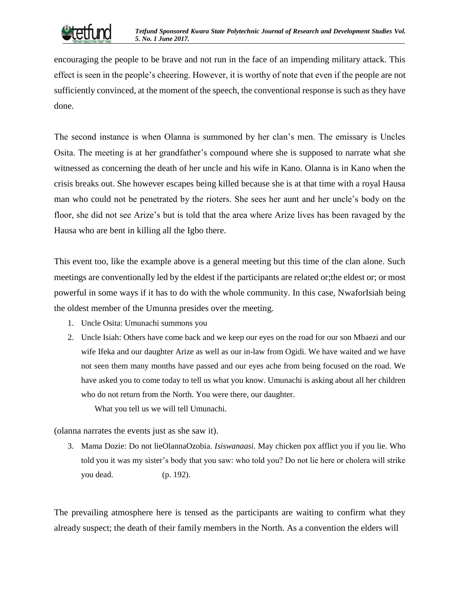encouraging the people to be brave and not run in the face of an impending military attack. This effect is seen in the people's cheering. However, it is worthy of note that even if the people are not sufficiently convinced, at the moment of the speech, the conventional response is such as they have done.

The second instance is when Olanna is summoned by her clan's men. The emissary is Uncles Osita. The meeting is at her grandfather's compound where she is supposed to narrate what she witnessed as concerning the death of her uncle and his wife in Kano. Olanna is in Kano when the crisis breaks out. She however escapes being killed because she is at that time with a royal Hausa man who could not be penetrated by the rioters. She sees her aunt and her uncle's body on the floor, she did not see Arize's but is told that the area where Arize lives has been ravaged by the Hausa who are bent in killing all the Igbo there.

This event too, like the example above is a general meeting but this time of the clan alone. Such meetings are conventionally led by the eldest if the participants are related or;the eldest or; or most powerful in some ways if it has to do with the whole community. In this case, NwaforIsiah being the oldest member of the Umunna presides over the meeting.

- 1. Uncle Osita: Umunachi summons you
- 2. Uncle Isiah: Others have come back and we keep our eyes on the road for our son Mbaezi and our wife Ifeka and our daughter Arize as well as our in-law from Ogidi. We have waited and we have not seen them many months have passed and our eyes ache from being focused on the road. We have asked you to come today to tell us what you know. Umunachi is asking about all her children who do not return from the North. You were there, our daughter.

What you tell us we will tell Umunachi.

(olanna narrates the events just as she saw it).

3. Mama Dozie: Do not lieOlannaOzobia. *Isiswanaasi.* May chicken pox afflict you if you lie. Who told you it was my sister's body that you saw: who told you? Do not lie here or cholera will strike you dead. (p. 192).

The prevailing atmosphere here is tensed as the participants are waiting to confirm what they already suspect; the death of their family members in the North. As a convention the elders will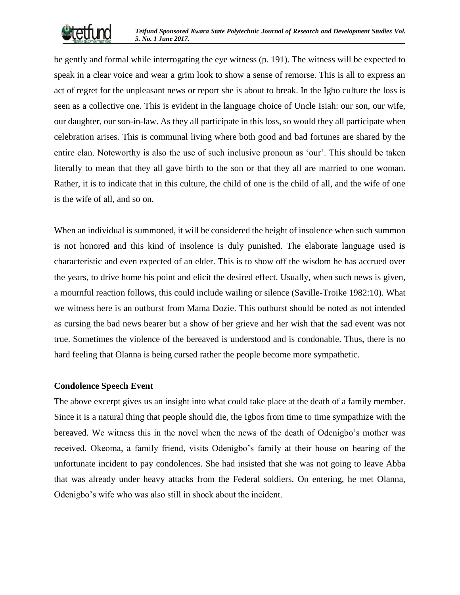

be gently and formal while interrogating the eye witness (p. 191). The witness will be expected to speak in a clear voice and wear a grim look to show a sense of remorse. This is all to express an act of regret for the unpleasant news or report she is about to break. In the Igbo culture the loss is seen as a collective one. This is evident in the language choice of Uncle Isiah: our son, our wife, our daughter, our son-in-law. As they all participate in this loss, so would they all participate when celebration arises. This is communal living where both good and bad fortunes are shared by the entire clan. Noteworthy is also the use of such inclusive pronoun as 'our'. This should be taken literally to mean that they all gave birth to the son or that they all are married to one woman. Rather, it is to indicate that in this culture, the child of one is the child of all, and the wife of one is the wife of all, and so on.

When an individual is summoned, it will be considered the height of insolence when such summon is not honored and this kind of insolence is duly punished. The elaborate language used is characteristic and even expected of an elder. This is to show off the wisdom he has accrued over the years, to drive home his point and elicit the desired effect. Usually, when such news is given, a mournful reaction follows, this could include wailing or silence (Saville-Troike 1982:10). What we witness here is an outburst from Mama Dozie. This outburst should be noted as not intended as cursing the bad news bearer but a show of her grieve and her wish that the sad event was not true. Sometimes the violence of the bereaved is understood and is condonable. Thus, there is no hard feeling that Olanna is being cursed rather the people become more sympathetic.

#### **Condolence Speech Event**

The above excerpt gives us an insight into what could take place at the death of a family member. Since it is a natural thing that people should die, the Igbos from time to time sympathize with the bereaved. We witness this in the novel when the news of the death of Odenigbo's mother was received. Okeoma, a family friend, visits Odenigbo's family at their house on hearing of the unfortunate incident to pay condolences. She had insisted that she was not going to leave Abba that was already under heavy attacks from the Federal soldiers. On entering, he met Olanna, Odenigbo's wife who was also still in shock about the incident.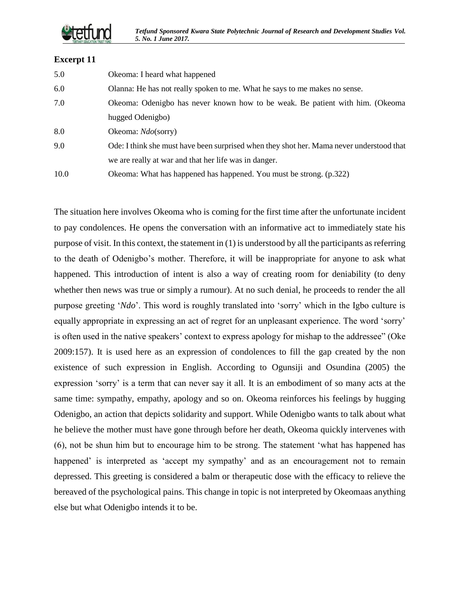#### **Excerpt 11**

| 5.0 | Okeoma: I heard what happened                                                            |
|-----|------------------------------------------------------------------------------------------|
| 6.0 | Olanna: He has not really spoken to me. What he says to me makes no sense.               |
| 7.0 | Okeoma: Odenigbo has never known how to be weak. Be patient with him. (Okeoma            |
|     | hugged Odenigbo)                                                                         |
| 8.0 | Okeoma: $Ndo$ (sorry)                                                                    |
| 9.0 | Ode: I think she must have been surprised when they shot her. Mama never understood that |
|     | we are really at war and that her life was in danger.                                    |
|     |                                                                                          |

10.0 Okeoma: What has happened has happened. You must be strong. (p.322)

The situation here involves Okeoma who is coming for the first time after the unfortunate incident to pay condolences. He opens the conversation with an informative act to immediately state his purpose of visit. In this context, the statement in (1) is understood by all the participants as referring to the death of Odenigbo's mother. Therefore, it will be inappropriate for anyone to ask what happened. This introduction of intent is also a way of creating room for deniability (to deny whether then news was true or simply a rumour). At no such denial, he proceeds to render the all purpose greeting '*Ndo*'. This word is roughly translated into 'sorry' which in the Igbo culture is equally appropriate in expressing an act of regret for an unpleasant experience. The word 'sorry' is often used in the native speakers' context to express apology for mishap to the addressee" (Oke 2009:157). It is used here as an expression of condolences to fill the gap created by the non existence of such expression in English. According to Ogunsiji and Osundina (2005) the expression 'sorry' is a term that can never say it all. It is an embodiment of so many acts at the same time: sympathy, empathy, apology and so on. Okeoma reinforces his feelings by hugging Odenigbo, an action that depicts solidarity and support. While Odenigbo wants to talk about what he believe the mother must have gone through before her death, Okeoma quickly intervenes with (6), not be shun him but to encourage him to be strong. The statement 'what has happened has happened' is interpreted as 'accept my sympathy' and as an encouragement not to remain depressed. This greeting is considered a balm or therapeutic dose with the efficacy to relieve the bereaved of the psychological pains. This change in topic is not interpreted by Okeomaas anything else but what Odenigbo intends it to be.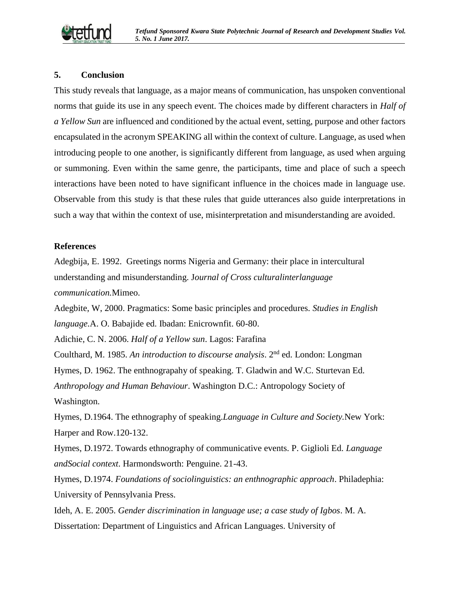

#### **5. Conclusion**

This study reveals that language, as a major means of communication, has unspoken conventional norms that guide its use in any speech event. The choices made by different characters in *Half of a Yellow Sun* are influenced and conditioned by the actual event, setting, purpose and other factors encapsulated in the acronym SPEAKING all within the context of culture. Language, as used when introducing people to one another, is significantly different from language, as used when arguing or summoning. Even within the same genre, the participants, time and place of such a speech interactions have been noted to have significant influence in the choices made in language use. Observable from this study is that these rules that guide utterances also guide interpretations in such a way that within the context of use, misinterpretation and misunderstanding are avoided.

#### **References**

Adegbija, E. 1992. Greetings norms Nigeria and Germany: their place in intercultural understanding and misunderstanding. J*ournal of Cross culturalinterlanguage communication.*Mimeo.

Adegbite, W, 2000. Pragmatics: Some basic principles and procedures. *Studies in English language.*A. O. Babajide ed. Ibadan: Enicrownfit. 60-80.

Adichie, C. N. 2006. *Half of a Yellow sun*. Lagos: Farafina

Coulthard, M. 1985. *An introduction to discourse analysis*. 2nd ed. London: Longman

Hymes, D. 1962. The enthnograpahy of speaking. T. Gladwin and W.C. Sturtevan Ed.

*Anthropology and Human Behaviour*. Washington D.C.: Antropology Society of Washington.

Hymes, D.1964. The ethnography of speaking.*Language in Culture and Society.*New York: Harper and Row.120-132.

Hymes, D.1972. Towards ethnography of communicative events. P. Giglioli Ed. *Language andSocial context*. Harmondsworth: Penguine. 21-43.

Hymes, D.1974. *Foundations of sociolinguistics: an enthnographic approach*. Philadephia: University of Pennsylvania Press.

Ideh, A. E. 2005. *Gender discrimination in language use; a case study of Igbos*. M. A. Dissertation: Department of Linguistics and African Languages. University of